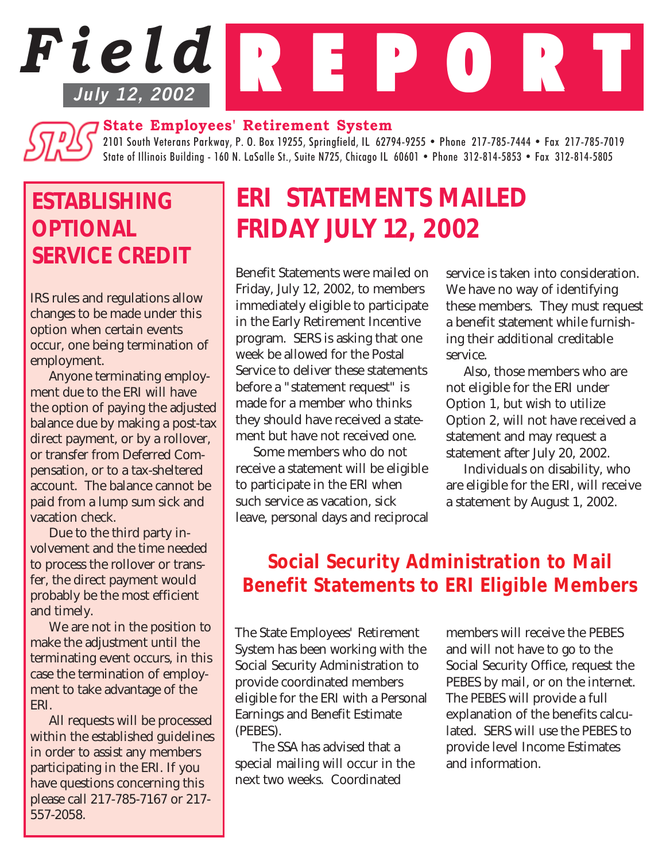# *Field* REPORT **July 12, 2002**

## **State Employees' Retirement System**

2101 South Veterans Parkway, P. O. Box 19255, Springfield, IL 62794-9255 • Phone 217-785-7444 • Fax 217-785-7019 State of Illinois Building - 160 N. LaSalle St., Suite N725, Chicago IL 60601 • Phone 312-814-5853 • Fax 312-814-5805

## *ESTABLISHING OPTIONAL SERVICE CREDIT*

IRS rules and regulations allow changes to be made under this option when certain events occur, one being termination of employment.

Anyone terminating employment due to the ERI will have the option of paying the adjusted balance due by making a post-tax direct payment, or by a rollover, or transfer from Deferred Compensation, or to a tax-sheltered account. The balance cannot be paid from a lump sum sick and vacation check.

Due to the third party involvement and the time needed to process the rollover or transfer, the direct payment would probably be the most efficient and timely.

We are not in the position to make the adjustment until the terminating event occurs, in this case the termination of employment to take advantage of the ERI.

All requests will be processed within the established guidelines in order to assist any members participating in the ERI. If you have questions concerning this please call 217-785-7167 or 217- 557-2058.

# *ERI STATEMENTS MAILED FRIDAY JULY 12, 2002*

Benefit Statements were mailed on Friday, July 12, 2002, to members immediately eligible to participate in the Early Retirement Incentive program. SERS is asking that one week be allowed for the Postal Service to deliver these statements before a "statement request" is made for a member who thinks they should have received a statement but have not received one.

Some members who do not receive a statement will be eligible to participate in the ERI when such service as vacation, sick leave, personal days and reciprocal service is taken into consideration. We have no way of identifying these members. They must request a benefit statement while furnishing their additional creditable service.

Also, those members who are not eligible for the ERI under Option 1, but wish to utilize Option 2, will not have received a statement and may request a statement after July 20, 2002.

Individuals on disability, who are eligible for the ERI, will receive a statement by August 1, 2002.

## *Social Security Administration to Mail Benefit Statements to ERI Eligible Members*

The State Employees' Retirement System has been working with the Social Security Administration to provide coordinated members eligible for the ERI with a Personal Earnings and Benefit Estimate (PEBES).

The SSA has advised that a special mailing will occur in the next two weeks. Coordinated

members will receive the PEBES and will not have to go to the Social Security Office, request the PEBES by mail, or on the internet. The PEBES will provide a full explanation of the benefits calculated. SERS will use the PEBES to provide level Income Estimates and information.